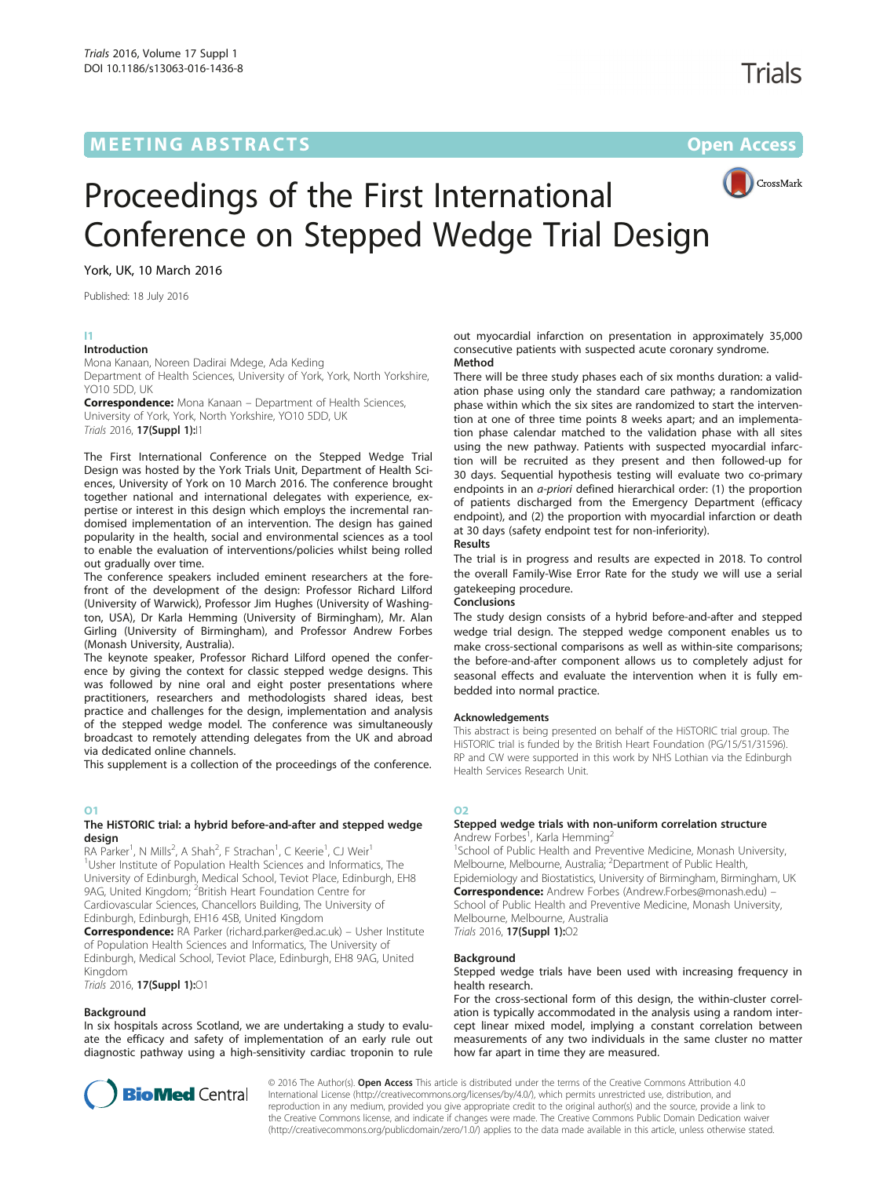# **MEETING ABSTRACTS** And the state of the state of the state of the state of the state of the state of the state of the state of the state of the state of the state of the state of the state of the state of the state of the



# Proceedings of the First International Conference on Stepped Wedge Trial Design

York, UK, 10 March 2016

Published: 18 July 2016

# I1

# Introduction

Mona Kanaan, Noreen Dadirai Mdege, Ada Keding

Department of Health Sciences, University of York, York, North Yorkshire, YO10 5DD, LIK

**Correspondence:** Mona Kanaan – Department of Health Sciences, University of York, York, North Yorkshire, YO10 5DD, UK Trials 2016, 17(Suppl 1):11

The First International Conference on the Stepped Wedge Trial Design was hosted by the York Trials Unit, Department of Health Sciences, University of York on 10 March 2016. The conference brought together national and international delegates with experience, expertise or interest in this design which employs the incremental randomised implementation of an intervention. The design has gained popularity in the health, social and environmental sciences as a tool to enable the evaluation of interventions/policies whilst being rolled out gradually over time.

The conference speakers included eminent researchers at the forefront of the development of the design: Professor Richard Lilford (University of Warwick), Professor Jim Hughes (University of Washington, USA), Dr Karla Hemming (University of Birmingham), Mr. Alan Girling (University of Birmingham), and Professor Andrew Forbes (Monash University, Australia).

The keynote speaker, Professor Richard Lilford opened the conference by giving the context for classic stepped wedge designs. This was followed by nine oral and eight poster presentations where practitioners, researchers and methodologists shared ideas, best practice and challenges for the design, implementation and analysis of the stepped wedge model. The conference was simultaneously broadcast to remotely attending delegates from the UK and abroad via dedicated online channels.

This supplement is a collection of the proceedings of the conference.

# O1

# The HiSTORIC trial: a hybrid before-and-after and stepped wedge design

RA Parker<sup>1</sup>, N Mills<sup>2</sup>, A Shah<sup>2</sup>, F Strachan<sup>1</sup>, C Keerie<sup>1</sup>, CJ Weir<sup>1</sup> <sup>1</sup>Usher Institute of Population Health Sciences and Informatics, The University of Edinburgh, Medical School, Teviot Place, Edinburgh, EH8 9AG, United Kingdom; <sup>2</sup>British Heart Foundation Centre for Cardiovascular Sciences, Chancellors Building, The University of Edinburgh, Edinburgh, EH16 4SB, United Kingdom

Correspondence: RA Parker (richard.parker@ed.ac.uk) - Usher Institute of Population Health Sciences and Informatics, The University of Edinburgh, Medical School, Teviot Place, Edinburgh, EH8 9AG, United Kingdom

Trials 2016, 17(Suppl 1):01

# Background

In six hospitals across Scotland, we are undertaking a study to evaluate the efficacy and safety of implementation of an early rule out diagnostic pathway using a high-sensitivity cardiac troponin to rule



There will be three study phases each of six months duration: a validation phase using only the standard care pathway; a randomization phase within which the six sites are randomized to start the intervention at one of three time points 8 weeks apart; and an implementation phase calendar matched to the validation phase with all sites using the new pathway. Patients with suspected myocardial infarction will be recruited as they present and then followed-up for 30 days. Sequential hypothesis testing will evaluate two co-primary endpoints in an a-priori defined hierarchical order: (1) the proportion of patients discharged from the Emergency Department (efficacy endpoint), and (2) the proportion with myocardial infarction or death at 30 days (safety endpoint test for non-inferiority). Results

The trial is in progress and results are expected in 2018. To control the overall Family-Wise Error Rate for the study we will use a serial gatekeeping procedure.

#### Conclusions

The study design consists of a hybrid before-and-after and stepped wedge trial design. The stepped wedge component enables us to make cross-sectional comparisons as well as within-site comparisons; the before-and-after component allows us to completely adjust for seasonal effects and evaluate the intervention when it is fully embedded into normal practice.

#### Acknowledgements

This abstract is being presented on behalf of the HiSTORIC trial group. The HiSTORIC trial is funded by the British Heart Foundation (PG/15/51/31596). RP and CW were supported in this work by NHS Lothian via the Edinburgh Health Services Research Unit.

# O2

# Stepped wedge trials with non-uniform correlation structure Andrew Forbes<sup>1</sup>, Karla Hemming<sup>2</sup>

<sup>1</sup>School of Public Health and Preventive Medicine, Monash University, Melbourne, Melbourne, Australia; <sup>2</sup>Department of Public Health, Epidemiology and Biostatistics, University of Birmingham, Birmingham, UK Correspondence: Andrew Forbes (Andrew.Forbes@monash.edu) – School of Public Health and Preventive Medicine, Monash University, Melbourne, Melbourne, Australia Trials 2016, 17(Suppl 1):O2

#### Background

Stepped wedge trials have been used with increasing frequency in health research.

For the cross-sectional form of this design, the within-cluster correlation is typically accommodated in the analysis using a random intercept linear mixed model, implying a constant correlation between measurements of any two individuals in the same cluster no matter how far apart in time they are measured.



© 2016 The Author(s). Open Access This article is distributed under the terms of the Creative Commons Attribution 4.0 International License ([http://creativecommons.org/licenses/by/4.0/\)](http://creativecommons.org/licenses/by/4.0/), which permits unrestricted use, distribution, and reproduction in any medium, provided you give appropriate credit to the original author(s) and the source, provide a link to the Creative Commons license, and indicate if changes were made. The Creative Commons Public Domain Dedication waiver ([http://creativecommons.org/publicdomain/zero/1.0/\)](http://creativecommons.org/publicdomain/zero/1.0/) applies to the data made available in this article, unless otherwise stated.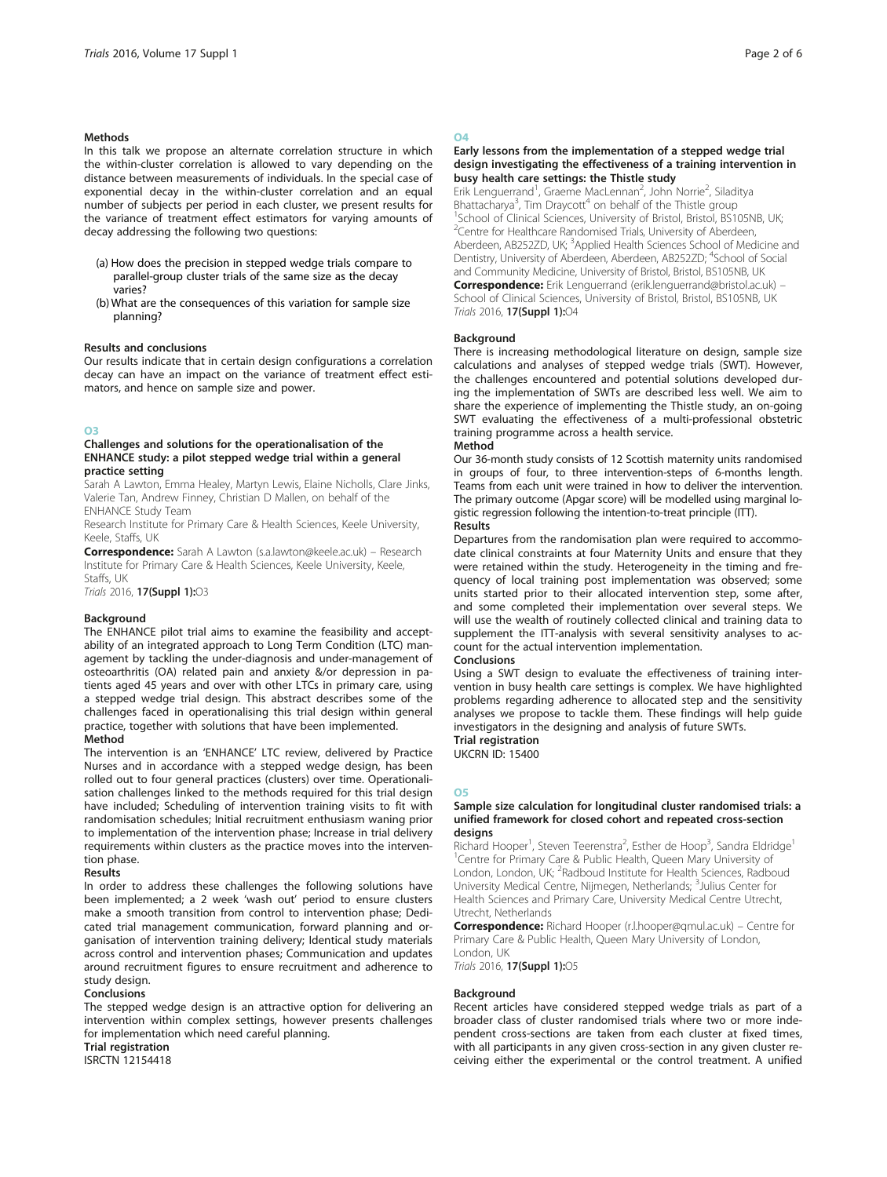# Methods

In this talk we propose an alternate correlation structure in which the within-cluster correlation is allowed to vary depending on the distance between measurements of individuals. In the special case of exponential decay in the within-cluster correlation and an equal number of subjects per period in each cluster, we present results for the variance of treatment effect estimators for varying amounts of decay addressing the following two questions:

- (a) How does the precision in stepped wedge trials compare to parallel-group cluster trials of the same size as the decay varies?
- (b) What are the consequences of this variation for sample size planning?

#### Results and conclusions

Our results indicate that in certain design configurations a correlation decay can have an impact on the variance of treatment effect estimators, and hence on sample size and power.

# O3

# Challenges and solutions for the operationalisation of the ENHANCE study: a pilot stepped wedge trial within a general practice setting

Sarah A Lawton, Emma Healey, Martyn Lewis, Elaine Nicholls, Clare Jinks, Valerie Tan, Andrew Finney, Christian D Mallen, on behalf of the ENHANCE Study Team

Research Institute for Primary Care & Health Sciences, Keele University, Keele, Staffs, UK

Correspondence: Sarah A Lawton (s.a.lawton@keele.ac.uk) – Research Institute for Primary Care & Health Sciences, Keele University, Keele, Staffs, UK

Trials 2016, 17(Suppl 1):O3

# Background

The ENHANCE pilot trial aims to examine the feasibility and acceptability of an integrated approach to Long Term Condition (LTC) management by tackling the under-diagnosis and under-management of osteoarthritis (OA) related pain and anxiety &/or depression in patients aged 45 years and over with other LTCs in primary care, using a stepped wedge trial design. This abstract describes some of the challenges faced in operationalising this trial design within general practice, together with solutions that have been implemented.

#### Method

The intervention is an 'ENHANCE' LTC review, delivered by Practice Nurses and in accordance with a stepped wedge design, has been rolled out to four general practices (clusters) over time. Operationalisation challenges linked to the methods required for this trial design have included; Scheduling of intervention training visits to fit with randomisation schedules; Initial recruitment enthusiasm waning prior to implementation of the intervention phase; Increase in trial delivery requirements within clusters as the practice moves into the intervention phase.

#### Results

In order to address these challenges the following solutions have been implemented; a 2 week 'wash out' period to ensure clusters make a smooth transition from control to intervention phase; Dedicated trial management communication, forward planning and organisation of intervention training delivery; Identical study materials across control and intervention phases; Communication and updates around recruitment figures to ensure recruitment and adherence to study design.

#### Conclusions

The stepped wedge design is an attractive option for delivering an intervention within complex settings, however presents challenges for implementation which need careful planning.

# Trial registration

ISRCTN 12154418

# O4

# Early lessons from the implementation of a stepped wedge trial design investigating the effectiveness of a training intervention in busy health care settings: the Thistle study

Erik Lenguerrand<sup>1</sup>, Graeme MacLennan<sup>2</sup>, John Norrie<sup>2</sup>, Siladitya Bhattacharya<sup>3</sup>, Tim Draycott<sup>4</sup> on behalf of the Thistle group<br><sup>1</sup>School of Clinical Sciences, University of Brittol, Bristol, BS1 <sup>1</sup>School of Clinical Sciences, University of Bristol, Bristol, BS105NB, UK; <sup>2</sup>Centre for Healthcare Randomised Trials, University of Aberdeen, Aberdeen, AB252ZD, UK; <sup>3</sup>Applied Health Sciences School of Medicine and Dentistry, University of Aberdeen, Aberdeen, AB252ZD; <sup>4</sup>School of Social and Community Medicine, University of Bristol, Bristol, BS105NB, UK Correspondence: Erik Lenguerrand (erik.lenguerrand@bristol.ac.uk) – School of Clinical Sciences, University of Bristol, Bristol, BS105NB, UK Trials 2016, 17(Suppl 1):O4

#### Background

There is increasing methodological literature on design, sample size calculations and analyses of stepped wedge trials (SWT). However, the challenges encountered and potential solutions developed during the implementation of SWTs are described less well. We aim to share the experience of implementing the Thistle study, an on-going SWT evaluating the effectiveness of a multi-professional obstetric training programme across a health service.

# Method

Our 36-month study consists of 12 Scottish maternity units randomised in groups of four, to three intervention-steps of 6-months length. Teams from each unit were trained in how to deliver the intervention. The primary outcome (Apgar score) will be modelled using marginal logistic regression following the intention-to-treat principle (ITT). **Results** 

Departures from the randomisation plan were required to accommodate clinical constraints at four Maternity Units and ensure that they were retained within the study. Heterogeneity in the timing and frequency of local training post implementation was observed; some units started prior to their allocated intervention step, some after, and some completed their implementation over several steps. We will use the wealth of routinely collected clinical and training data to supplement the ITT-analysis with several sensitivity analyses to account for the actual intervention implementation.

Conclusions

Using a SWT design to evaluate the effectiveness of training intervention in busy health care settings is complex. We have highlighted problems regarding adherence to allocated step and the sensitivity analyses we propose to tackle them. These findings will help guide investigators in the designing and analysis of future SWTs. Trial registration

UKCRN ID: 15400

#### O5

#### Sample size calculation for longitudinal cluster randomised trials: a unified framework for closed cohort and repeated cross-section designs

Richard Hooper<sup>1</sup>, Steven Teerenstra<sup>2</sup>, Esther de Hoop<sup>3</sup>, Sandra Eldridge<sup>1</sup> <sup>1</sup>Centre for Primary Care & Public Health, Queen Mary University of London, London, UK; <sup>2</sup>Radboud Institute for Health Sciences, Radboud University Medical Centre, Nijmegen, Netherlands; <sup>3</sup>Julius Center for Health Sciences and Primary Care, University Medical Centre Utrecht, Utrecht, Netherlands

**Correspondence:** Richard Hooper (r.l.hooper@qmul.ac.uk) – Centre for Primary Care & Public Health, Queen Mary University of London, London, UK

Trials 2016, 17(Suppl 1):O5

#### **Background**

Recent articles have considered stepped wedge trials as part of a broader class of cluster randomised trials where two or more independent cross-sections are taken from each cluster at fixed times, with all participants in any given cross-section in any given cluster receiving either the experimental or the control treatment. A unified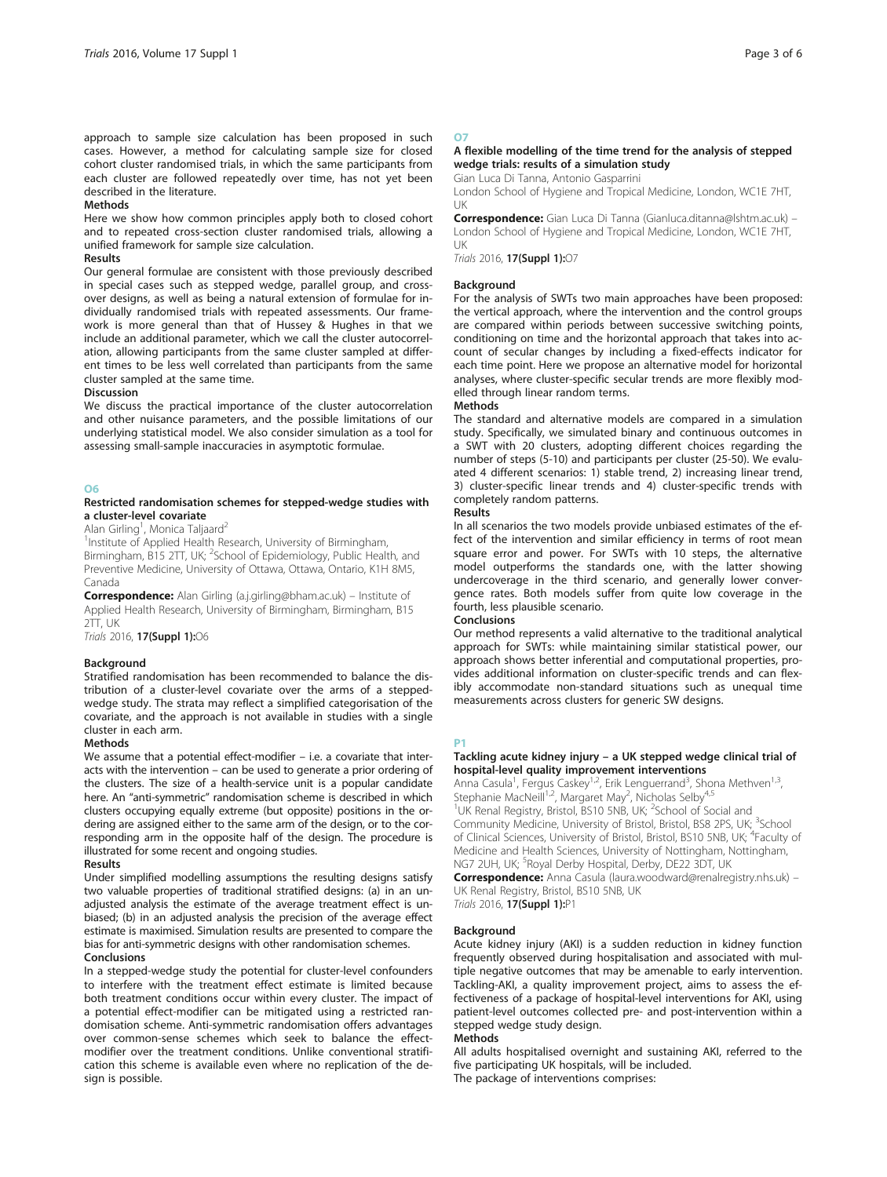approach to sample size calculation has been proposed in such cases. However, a method for calculating sample size for closed cohort cluster randomised trials, in which the same participants from each cluster are followed repeatedly over time, has not yet been described in the literature.

# Methods

Here we show how common principles apply both to closed cohort and to repeated cross-section cluster randomised trials, allowing a unified framework for sample size calculation.

# Results

Our general formulae are consistent with those previously described in special cases such as stepped wedge, parallel group, and crossover designs, as well as being a natural extension of formulae for individually randomised trials with repeated assessments. Our framework is more general than that of Hussey & Hughes in that we include an additional parameter, which we call the cluster autocorrelation, allowing participants from the same cluster sampled at different times to be less well correlated than participants from the same cluster sampled at the same time.

#### Discussion

We discuss the practical importance of the cluster autocorrelation and other nuisance parameters, and the possible limitations of our underlying statistical model. We also consider simulation as a tool for assessing small-sample inaccuracies in asymptotic formulae.

#### O6

# Restricted randomisation schemes for stepped-wedge studies with a cluster-level covariate

Alan Girling<sup>1</sup>, Monica Taljaard<sup>2</sup>

<sup>1</sup> Institute of Applied Health Research, University of Birmingham,<br>Birmingham, B15 2TT, UK; <sup>2</sup>School of Epidemiology, Public Health, and Preventive Medicine, University of Ottawa, Ottawa, Ontario, K1H 8M5, Canada

Correspondence: Alan Girling (a.j.girling@bham.ac.uk) – Institute of Applied Health Research, University of Birmingham, Birmingham, B15 2TT, UK

Trials 2016, 17(Suppl 1):O6

# Background

Stratified randomisation has been recommended to balance the distribution of a cluster-level covariate over the arms of a steppedwedge study. The strata may reflect a simplified categorisation of the covariate, and the approach is not available in studies with a single cluster in each arm.

#### **Methods**

We assume that a potential effect-modifier – i.e. a covariate that interacts with the intervention – can be used to generate a prior ordering of the clusters. The size of a health-service unit is a popular candidate here. An "anti-symmetric" randomisation scheme is described in which clusters occupying equally extreme (but opposite) positions in the ordering are assigned either to the same arm of the design, or to the corresponding arm in the opposite half of the design. The procedure is illustrated for some recent and ongoing studies.

#### Results

Under simplified modelling assumptions the resulting designs satisfy two valuable properties of traditional stratified designs: (a) in an unadjusted analysis the estimate of the average treatment effect is unbiased; (b) in an adjusted analysis the precision of the average effect estimate is maximised. Simulation results are presented to compare the bias for anti-symmetric designs with other randomisation schemes. Conclusions

In a stepped-wedge study the potential for cluster-level confounders to interfere with the treatment effect estimate is limited because both treatment conditions occur within every cluster. The impact of a potential effect-modifier can be mitigated using a restricted randomisation scheme. Anti-symmetric randomisation offers advantages over common-sense schemes which seek to balance the effectmodifier over the treatment conditions. Unlike conventional stratification this scheme is available even where no replication of the design is possible.

# O7

# A flexible modelling of the time trend for the analysis of stepped wedge trials: results of a simulation study

Gian Luca Di Tanna, Antonio Gasparrini

London School of Hygiene and Tropical Medicine, London, WC1E 7HT, UK

Correspondence: Gian Luca Di Tanna (Gianluca.ditanna@lshtm.ac.uk) – London School of Hygiene and Tropical Medicine, London, WC1E 7HT, UK

Trials 2016, 17(Suppl 1):O7

# Background

For the analysis of SWTs two main approaches have been proposed: the vertical approach, where the intervention and the control groups are compared within periods between successive switching points, conditioning on time and the horizontal approach that takes into account of secular changes by including a fixed-effects indicator for each time point. Here we propose an alternative model for horizontal analyses, where cluster-specific secular trends are more flexibly modelled through linear random terms.

#### Methods

The standard and alternative models are compared in a simulation study. Specifically, we simulated binary and continuous outcomes in a SWT with 20 clusters, adopting different choices regarding the number of steps (5-10) and participants per cluster (25-50). We evaluated 4 different scenarios: 1) stable trend, 2) increasing linear trend, 3) cluster-specific linear trends and 4) cluster-specific trends with completely random patterns.

# Results

In all scenarios the two models provide unbiased estimates of the effect of the intervention and similar efficiency in terms of root mean square error and power. For SWTs with 10 steps, the alternative model outperforms the standards one, with the latter showing undercoverage in the third scenario, and generally lower convergence rates. Both models suffer from quite low coverage in the fourth, less plausible scenario.

Conclusions

Our method represents a valid alternative to the traditional analytical approach for SWTs: while maintaining similar statistical power, our approach shows better inferential and computational properties, provides additional information on cluster-specific trends and can flexibly accommodate non-standard situations such as unequal time measurements across clusters for generic SW designs.

# P1

# Tackling acute kidney injury – a UK stepped wedge clinical trial of

**hospital-level quality improvement interventions**<br>Anna Casula<sup>1</sup>, Fergus Caskey<sup>1,2</sup>, Erik Lenguerrand<sup>3</sup>, Shona Methven<sup>1,3</sup> Stephanie MacNeill<sup>1,2</sup>, Margaret May<sup>2</sup>, Nicholas Selby<sup>4,5</sup>

<sup>1</sup>UK Renal Registry, Bristol, BS10 5NB, UK; <sup>2</sup>School of Social and Community Medicine, University of Bristol, Bristol, BS8 2PS, UK; <sup>3</sup>School of Clinical Sciences, University of Bristol, Bristol, BS10 5NB, UK; <sup>4</sup>Faculty of Medicine and Health Sciences, University of Nottingham, Nottingham, NG7 2UH, UK; <sup>5</sup>Royal Derby Hospital, Derby, DE22 3DT, UK

Correspondence: Anna Casula (laura.woodward@renalregistry.nhs.uk) – UK Renal Registry, Bristol, BS10 5NB, UK

Trials 2016, 17(Suppl 1):P1

# **Background**

Acute kidney injury (AKI) is a sudden reduction in kidney function frequently observed during hospitalisation and associated with multiple negative outcomes that may be amenable to early intervention. Tackling-AKI, a quality improvement project, aims to assess the effectiveness of a package of hospital-level interventions for AKI, using patient-level outcomes collected pre- and post-intervention within a stepped wedge study design.

#### Methods

All adults hospitalised overnight and sustaining AKI, referred to the five participating UK hospitals, will be included.

The package of interventions comprises: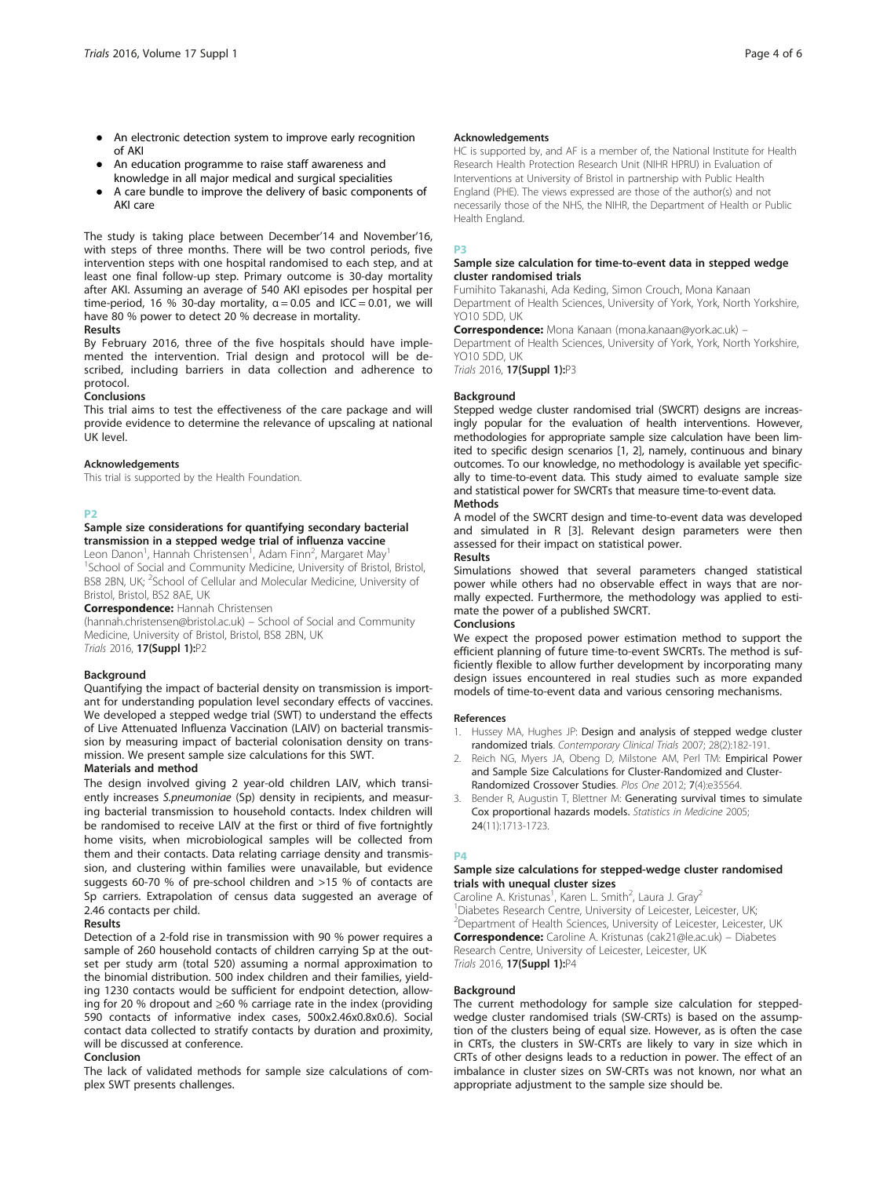- An electronic detection system to improve early recognition of AKI
- An education programme to raise staff awareness and knowledge in all major medical and surgical specialities
- A care bundle to improve the delivery of basic components of AKI care

The study is taking place between December'14 and November'16, with steps of three months. There will be two control periods, five intervention steps with one hospital randomised to each step, and at least one final follow-up step. Primary outcome is 30-day mortality after AKI. Assuming an average of 540 AKI episodes per hospital per time-period, 16 % 30-day mortality,  $\alpha = 0.05$  and ICC = 0.01, we will have 80 % power to detect 20 % decrease in mortality.

# Results

By February 2016, three of the five hospitals should have implemented the intervention. Trial design and protocol will be described, including barriers in data collection and adherence to protocol.

# **Conclusions**

This trial aims to test the effectiveness of the care package and will provide evidence to determine the relevance of upscaling at national UK level.

# Acknowledgements

This trial is supported by the Health Foundation.

# P2

# Sample size considerations for quantifying secondary bacterial transmission in a stepped wedge trial of influenza vaccine

Leon Danon<sup>1</sup>, Hannah Christensen<sup>1</sup>, Adam Finn<sup>2</sup>, Margaret May<sup>1</sup> <sup>1</sup>School of Social and Community Medicine, University of Bristol, Bristol, BS8 2BN, UK; <sup>2</sup>School of Cellular and Molecular Medicine, University of Bristol, Bristol, BS2 8AE, UK

Correspondence: Hannah Christensen

(hannah.christensen@bristol.ac.uk) – School of Social and Community Medicine, University of Bristol, Bristol, BS8 2BN, UK Trials 2016, 17(Suppl 1):P2

#### **Background**

Quantifying the impact of bacterial density on transmission is important for understanding population level secondary effects of vaccines. We developed a stepped wedge trial (SWT) to understand the effects of Live Attenuated Influenza Vaccination (LAIV) on bacterial transmission by measuring impact of bacterial colonisation density on transmission. We present sample size calculations for this SWT.

# Materials and method

The design involved giving 2 year-old children LAIV, which transiently increases S.pneumoniae (Sp) density in recipients, and measuring bacterial transmission to household contacts. Index children will be randomised to receive LAIV at the first or third of five fortnightly home visits, when microbiological samples will be collected from them and their contacts. Data relating carriage density and transmission, and clustering within families were unavailable, but evidence suggests 60-70 % of pre-school children and >15 % of contacts are Sp carriers. Extrapolation of census data suggested an average of 2.46 contacts per child.

#### Results

Detection of a 2-fold rise in transmission with 90 % power requires a sample of 260 household contacts of children carrying Sp at the outset per study arm (total 520) assuming a normal approximation to the binomial distribution. 500 index children and their families, yielding 1230 contacts would be sufficient for endpoint detection, allowing for 20 % dropout and ≥60 % carriage rate in the index (providing 590 contacts of informative index cases, 500x2.46x0.8x0.6). Social contact data collected to stratify contacts by duration and proximity, will be discussed at conference.

#### Conclusion

The lack of validated methods for sample size calculations of complex SWT presents challenges.

#### Acknowledgements

HC is supported by, and AF is a member of, the National Institute for Health Research Health Protection Research Unit (NIHR HPRU) in Evaluation of Interventions at University of Bristol in partnership with Public Health England (PHE). The views expressed are those of the author(s) and not necessarily those of the NHS, the NIHR, the Department of Health or Public Health England.

# P3

# Sample size calculation for time-to-event data in stepped wedge cluster randomised trials

Fumihito Takanashi, Ada Keding, Simon Crouch, Mona Kanaan Department of Health Sciences, University of York, York, North Yorkshire, YO10 5DD, UK

Correspondence: Mona Kanaan (mona.kanaan@york.ac.uk) -

Department of Health Sciences, University of York, York, North Yorkshire, YO10 5DD, UK

Trials 2016, 17(Suppl 1):P3

# **Background**

Stepped wedge cluster randomised trial (SWCRT) designs are increasingly popular for the evaluation of health interventions. However, methodologies for appropriate sample size calculation have been limited to specific design scenarios [1, 2], namely, continuous and binary outcomes. To our knowledge, no methodology is available yet specifically to time-to-event data. This study aimed to evaluate sample size and statistical power for SWCRTs that measure time-to-event data. Methods

A model of the SWCRT design and time-to-event data was developed and simulated in R [3]. Relevant design parameters were then assessed for their impact on statistical power.

# Results

Simulations showed that several parameters changed statistical power while others had no observable effect in ways that are normally expected. Furthermore, the methodology was applied to estimate the power of a published SWCRT.

# Conclusions

We expect the proposed power estimation method to support the efficient planning of future time-to-event SWCRTs. The method is sufficiently flexible to allow further development by incorporating many design issues encountered in real studies such as more expanded models of time-to-event data and various censoring mechanisms.

#### References

- 1. Hussey MA, Hughes JP: Design and analysis of stepped wedge cluster randomized trials. Contemporary Clinical Trials 2007; 28(2):182-191.
- 2. Reich NG, Myers JA, Obeng D, Milstone AM, Perl TM: Empirical Power and Sample Size Calculations for Cluster-Randomized and Cluster-Randomized Crossover Studies. Plos One 2012; 7(4):e35564.
- 3. Bender R, Augustin T, Blettner M: Generating survival times to simulate Cox proportional hazards models. Statistics in Medicine 2005; 24(11):1713-1723.

# P4

# Sample size calculations for stepped-wedge cluster randomised trials with unequal cluster sizes

Caroline A. Kristunas<sup>1</sup>, Karen L. Smith<sup>2</sup>, Laura J. Gray<sup>2</sup> <sup>1</sup>Diabetes Research Centre, University of Leicester, Leicester, UK; <sup>2</sup>Department of Health Sciences, University of Leicester, Leicester, UK Correspondence: Caroline A. Kristunas (cak21@le.ac.uk) - Diabetes Research Centre, University of Leicester, Leicester, UK Trials 2016, 17(Suppl 1):P4

# Background

The current methodology for sample size calculation for steppedwedge cluster randomised trials (SW-CRTs) is based on the assumption of the clusters being of equal size. However, as is often the case in CRTs, the clusters in SW-CRTs are likely to vary in size which in CRTs of other designs leads to a reduction in power. The effect of an imbalance in cluster sizes on SW-CRTs was not known, nor what an appropriate adjustment to the sample size should be.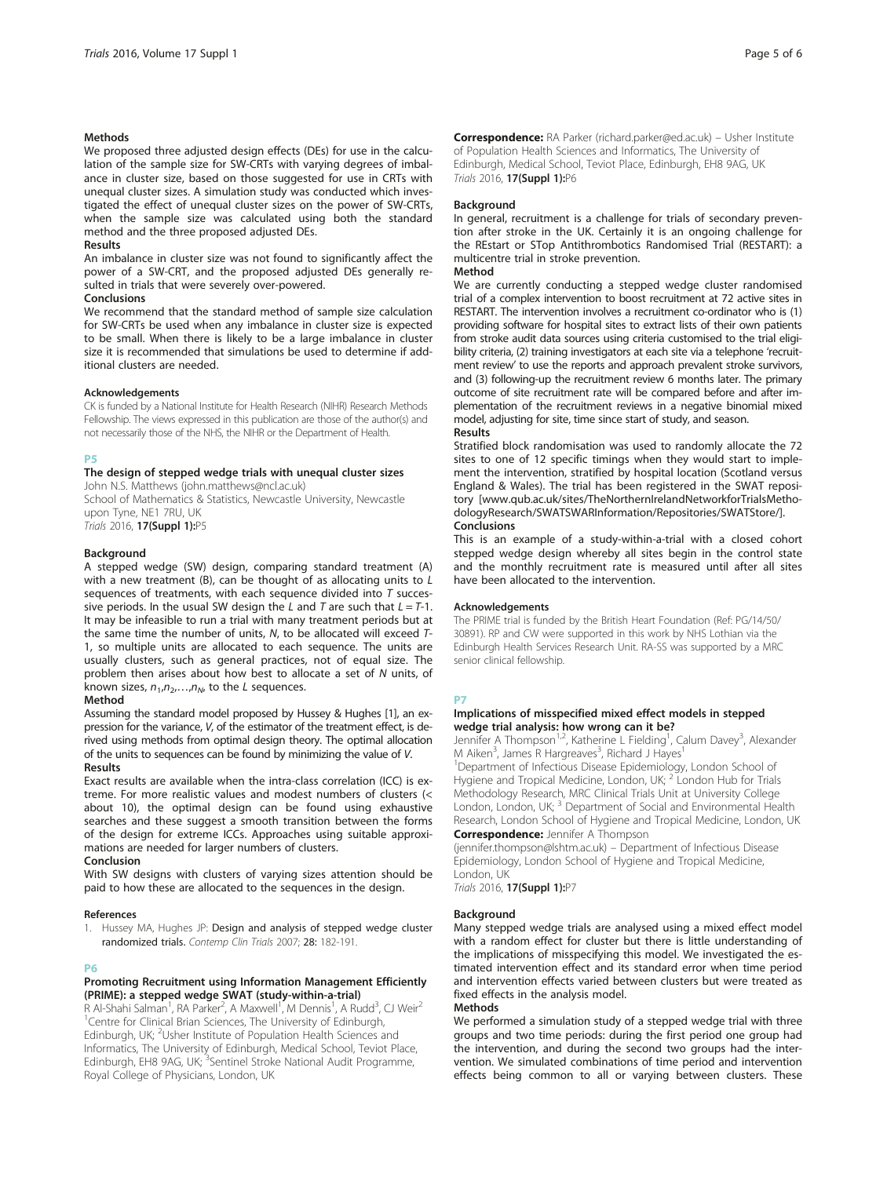# Methods

We proposed three adjusted design effects (DEs) for use in the calculation of the sample size for SW-CRTs with varying degrees of imbalance in cluster size, based on those suggested for use in CRTs with unequal cluster sizes. A simulation study was conducted which investigated the effect of unequal cluster sizes on the power of SW-CRTs, when the sample size was calculated using both the standard method and the three proposed adjusted DEs.

#### Results

An imbalance in cluster size was not found to significantly affect the power of a SW-CRT, and the proposed adjusted DEs generally resulted in trials that were severely over-powered.

# Conclusions

We recommend that the standard method of sample size calculation for SW-CRTs be used when any imbalance in cluster size is expected to be small. When there is likely to be a large imbalance in cluster size it is recommended that simulations be used to determine if additional clusters are needed.

# Acknowledgements

CK is funded by a National Institute for Health Research (NIHR) Research Methods Fellowship. The views expressed in this publication are those of the author(s) and not necessarily those of the NHS, the NIHR or the Department of Health.

# P5

# The design of stepped wedge trials with unequal cluster sizes

John N.S. Matthews (john.matthews@ncl.ac.uk) School of Mathematics & Statistics, Newcastle University, Newcastle upon Tyne, NE1 7RU, UK Trials 2016, 17(Suppl 1):P5

# Background

A stepped wedge (SW) design, comparing standard treatment (A) with a new treatment (B), can be thought of as allocating units to  $L$ sequences of treatments, with each sequence divided into T successive periods. In the usual SW design the L and T are such that  $L = T-1$ . It may be infeasible to run a trial with many treatment periods but at the same time the number of units, N, to be allocated will exceed T-1, so multiple units are allocated to each sequence. The units are usually clusters, such as general practices, not of equal size. The problem then arises about how best to allocate a set of N units, of known sizes,  $n_1, n_2, \ldots, n_N$ , to the L sequences.

# Method

Assuming the standard model proposed by Hussey & Hughes [1], an expression for the variance, V, of the estimator of the treatment effect, is derived using methods from optimal design theory. The optimal allocation of the units to sequences can be found by minimizing the value of V. Results

Exact results are available when the intra-class correlation (ICC) is extreme. For more realistic values and modest numbers of clusters (< about 10), the optimal design can be found using exhaustive searches and these suggest a smooth transition between the forms of the design for extreme ICCs. Approaches using suitable approximations are needed for larger numbers of clusters.

# Conclusion

With SW designs with clusters of varying sizes attention should be paid to how these are allocated to the sequences in the design.

#### References

1. Hussey MA, Hughes JP: Design and analysis of stepped wedge cluster randomized trials. Contemp Clin Trials 2007; 28: 182-191.

# P6

#### Promoting Recruitment using Information Management Efficiently (PRIME): a stepped wedge SWAT (study-within-a-trial)

R Al-Shahi Salman<sup>1</sup>, RA Parker<sup>2</sup>, A Maxwell<sup>1</sup>, M Dennis<sup>1</sup>, A Rudd<sup>3</sup>, CJ Weir<sup>2</sup> <sup>1</sup>Centre for Clinical Brian Sciences, The University of Edinburgh, Edinburgh, UK; <sup>2</sup>Usher Institute of Population Health Sciences and Informatics, The University of Edinburgh, Medical School, Teviot Place, Edinburgh, EH8 9AG, UK; <sup>3</sup>Sentinel Stroke National Audit Programme, Royal College of Physicians, London, UK

Correspondence: RA Parker (richard.parker@ed.ac.uk) – Usher Institute of Population Health Sciences and Informatics, The University of Edinburgh, Medical School, Teviot Place, Edinburgh, EH8 9AG, UK Trials 2016, 17(Suppl 1):P6

# **Background**

In general, recruitment is a challenge for trials of secondary prevention after stroke in the UK. Certainly it is an ongoing challenge for the REstart or STop Antithrombotics Randomised Trial (RESTART): a multicentre trial in stroke prevention.

#### Method

We are currently conducting a stepped wedge cluster randomised trial of a complex intervention to boost recruitment at 72 active sites in RESTART. The intervention involves a recruitment co-ordinator who is (1) providing software for hospital sites to extract lists of their own patients from stroke audit data sources using criteria customised to the trial eligibility criteria, (2) training investigators at each site via a telephone 'recruitment review' to use the reports and approach prevalent stroke survivors, and (3) following-up the recruitment review 6 months later. The primary outcome of site recruitment rate will be compared before and after implementation of the recruitment reviews in a negative binomial mixed model, adjusting for site, time since start of study, and season. Results

Stratified block randomisation was used to randomly allocate the 72 sites to one of 12 specific timings when they would start to implement the intervention, stratified by hospital location (Scotland versus England & Wales). The trial has been registered in the SWAT repository [[www.qub.ac.uk/sites/TheNorthernIrelandNetworkforTrialsMetho](http://www.qub.ac.uk/sites/TheNorthernIrelandNetworkforTrialsMethodologyResearch/SWATSWARInformation/Repositories/SWATStore/)[dologyResearch/SWATSWARInformation/Repositories/SWATStore/\]](http://www.qub.ac.uk/sites/TheNorthernIrelandNetworkforTrialsMethodologyResearch/SWATSWARInformation/Repositories/SWATStore/). Conclusions

This is an example of a study-within-a-trial with a closed cohort stepped wedge design whereby all sites begin in the control state and the monthly recruitment rate is measured until after all sites have been allocated to the intervention.

#### Acknowledgements

The PRIME trial is funded by the British Heart Foundation (Ref: PG/14/50/ 30891). RP and CW were supported in this work by NHS Lothian via the Edinburgh Health Services Research Unit. RA-SS was supported by a MRC senior clinical fellowship.

# P7

#### Implications of misspecified mixed effect models in stepped wedge trial analysis: how wrong can it be?

Jennifer A Thompson<sup>1,2</sup>, Katherine L Fielding<sup>1</sup>, Calum Davey<sup>3</sup>, Alexander M Aiken<sup>3</sup>, James R Hargreaves<sup>3</sup>, Richard J Hayes<sup>1</sup>

<sup>1</sup>Department of Infectious Disease Epidemiology, London School of Hygiene and Tropical Medicine, London, UK; <sup>2</sup> London Hub for Trials Methodology Research, MRC Clinical Trials Unit at University College<br>London, London, UK; <sup>3</sup> Department of Social and Environmental Health Research, London School of Hygiene and Tropical Medicine, London, UK **Correspondence:** Jennifer A Thompson

(jennifer.thompson@lshtm.ac.uk) – Department of Infectious Disease Epidemiology, London School of Hygiene and Tropical Medicine, London, UK

Trials 2016, 17(Suppl 1):P7

# Background

Many stepped wedge trials are analysed using a mixed effect model with a random effect for cluster but there is little understanding of the implications of misspecifying this model. We investigated the estimated intervention effect and its standard error when time period and intervention effects varied between clusters but were treated as fixed effects in the analysis model.

# Methods

We performed a simulation study of a stepped wedge trial with three groups and two time periods: during the first period one group had the intervention, and during the second two groups had the intervention. We simulated combinations of time period and intervention effects being common to all or varying between clusters. These